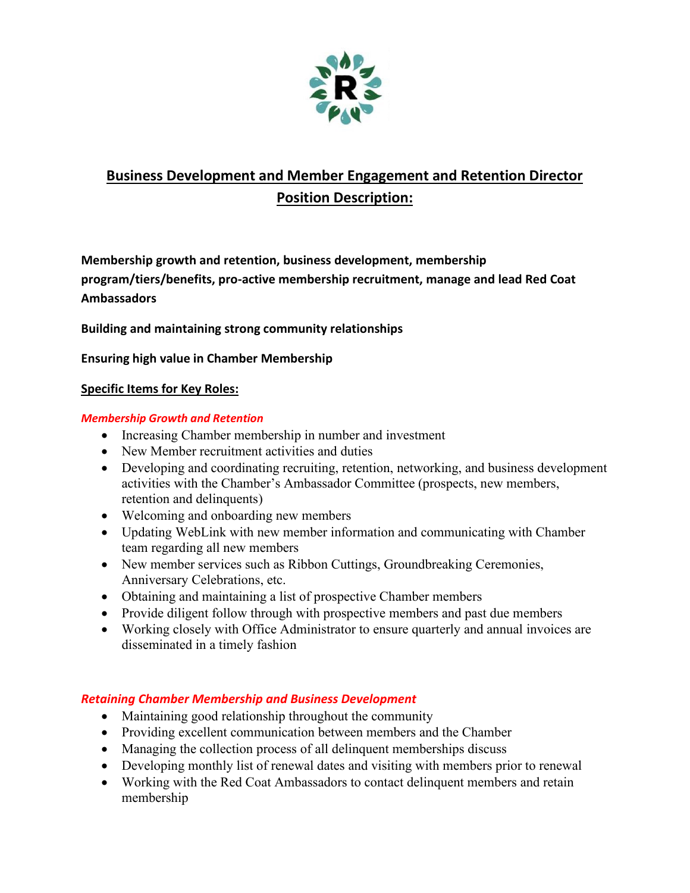

# **Business Development and Member Engagement and Retention Director Position Description:**

**Membership growth and retention, business development, membership program/tiers/benefits, pro-active membership recruitment, manage and lead Red Coat Ambassadors**

# **Building and maintaining strong community relationships**

# **Ensuring high value in Chamber Membership**

# **Specific Items for Key Roles:**

#### *Membership Growth and Retention*

- Increasing Chamber membership in number and investment
- New Member recruitment activities and duties
- Developing and coordinating recruiting, retention, networking, and business development activities with the Chamber's Ambassador Committee (prospects, new members, retention and delinquents)
- Welcoming and onboarding new members
- Updating WebLink with new member information and communicating with Chamber team regarding all new members
- New member services such as Ribbon Cuttings, Groundbreaking Ceremonies, Anniversary Celebrations, etc.
- Obtaining and maintaining a list of prospective Chamber members
- Provide diligent follow through with prospective members and past due members
- Working closely with Office Administrator to ensure quarterly and annual invoices are disseminated in a timely fashion

# *Retaining Chamber Membership and Business Development*

- Maintaining good relationship throughout the community
- Providing excellent communication between members and the Chamber
- Managing the collection process of all delinquent memberships discuss
- Developing monthly list of renewal dates and visiting with members prior to renewal
- Working with the Red Coat Ambassadors to contact delinquent members and retain membership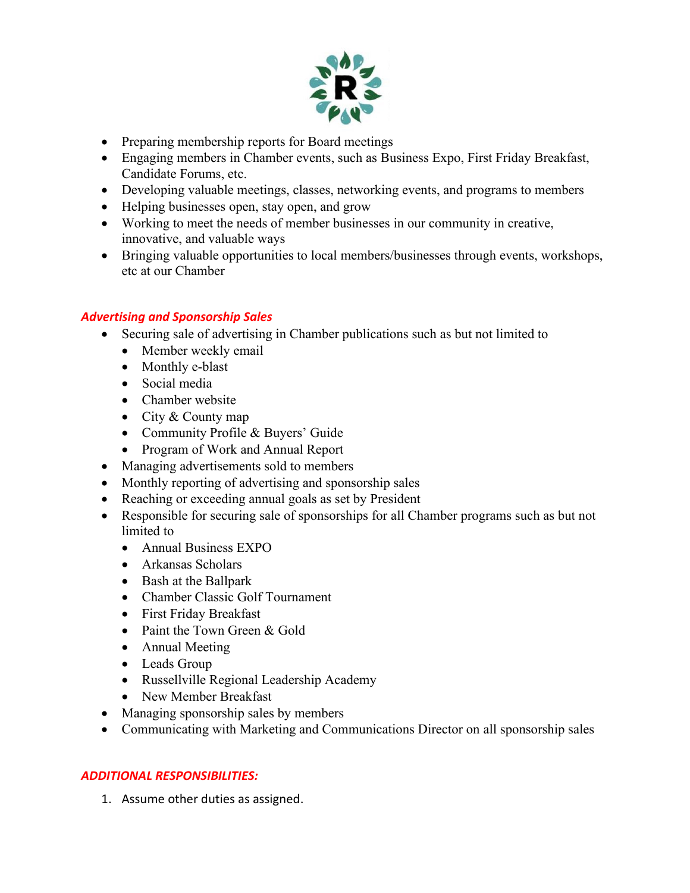

- Preparing membership reports for Board meetings
- Engaging members in Chamber events, such as Business Expo, First Friday Breakfast, Candidate Forums, etc.
- Developing valuable meetings, classes, networking events, and programs to members
- Helping businesses open, stay open, and grow
- Working to meet the needs of member businesses in our community in creative, innovative, and valuable ways
- Bringing valuable opportunities to local members/businesses through events, workshops, etc at our Chamber

# *Advertising and Sponsorship Sales*

- Securing sale of advertising in Chamber publications such as but not limited to
	- Member weekly email
	- Monthly e-blast
	- Social media
	- Chamber website
	- City & County map
	- Community Profile & Buyers' Guide
	- Program of Work and Annual Report
- Managing advertisements sold to members
- Monthly reporting of advertising and sponsorship sales
- Reaching or exceeding annual goals as set by President
- Responsible for securing sale of sponsorships for all Chamber programs such as but not limited to
	- Annual Business EXPO
	- Arkansas Scholars
	- Bash at the Ballpark
	- Chamber Classic Golf Tournament
	- First Friday Breakfast
	- Paint the Town Green & Gold
	- Annual Meeting
	- Leads Group
	- Russellville Regional Leadership Academy
	- New Member Breakfast
- Managing sponsorship sales by members
- Communicating with Marketing and Communications Director on all sponsorship sales

# *ADDITIONAL RESPONSIBILITIES:*

1. Assume other duties as assigned.